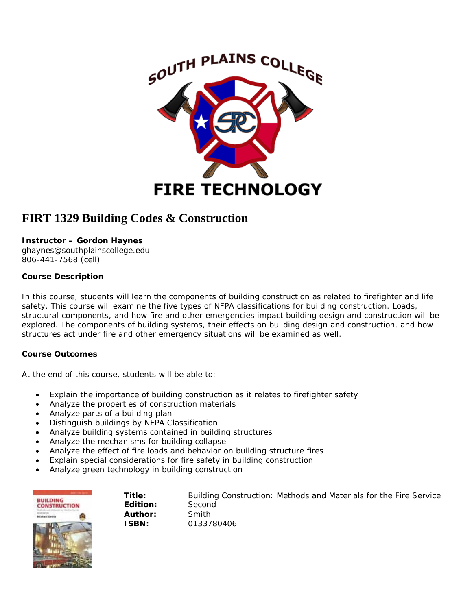

# **FIRT 1329 Building Codes & Construction**

## **Instructor – Gordon Haynes**

ghaynes@southplainscollege.edu 806-441-7568 (cell)

## **Course Description**

In this course, students will learn the components of building construction as related to firefighter and life safety. This course will examine the five types of NFPA classifications for building construction. Loads, structural components, and how fire and other emergencies impact building design and construction will be explored. The components of building systems, their effects on building design and construction, and how structures act under fire and other emergency situations will be examined as well.

# **Course Outcomes**

At the end of this course, students will be able to:

- Explain the importance of building construction as it relates to firefighter safety
- Analyze the properties of construction materials
- Analyze parts of a building plan
- Distinguish buildings by NFPA Classification
- Analyze building systems contained in building structures
- Analyze the mechanisms for building collapse
- Analyze the effect of fire loads and behavior on building structure fires
- Explain special considerations for fire safety in building construction
- Analyze green technology in building construction

| 4444                                   | Ti |
|----------------------------------------|----|
| <b>BUILDING</b><br><b>CONSTRUCTION</b> | Ec |
| ad Smith                               | Aι |
|                                        | IS |

**Title:** *Building Construction: Methods and Materials for the Fire Service* **Edition:** Second **Author:** Smith **ISBN:** 0133780406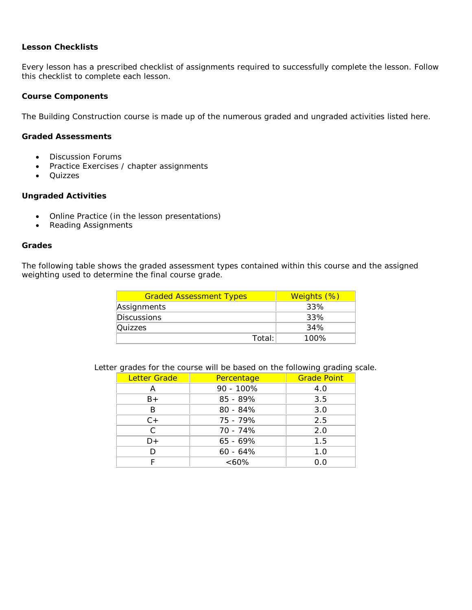#### **Lesson Checklists**

Every lesson has a prescribed checklist of assignments required to successfully complete the lesson. Follow this checklist to complete each lesson.

#### **Course Components**

The *Building Construction* course is made up of the numerous graded and ungraded activities listed here.

#### **Graded Assessments**

- Discussion Forums
- Practice Exercises / chapter assignments
- Quizzes

#### **Ungraded Activities**

- Online Practice (in the lesson presentations)
- Reading Assignments

#### **Grades**

The following table shows the graded assessment types contained within this course and the assigned weighting used to determine the final course grade.

| <b>Graded Assessment Types</b> | Weights (%) |
|--------------------------------|-------------|
| Assignments                    | 33%         |
| <b>Discussions</b>             | 33%         |
| Quizzes                        | 34%         |
| Total:                         | 100%        |

Letter grades for the course will be based on the following grading scale.

| <b>Letter Grade</b> | Percentage | <b>Grade Point</b> |
|---------------------|------------|--------------------|
| Α                   | 90 - 100%  | 4.0                |
| B+                  | 85 - 89%   | 3.5                |
| B                   | $80 - 84%$ | 3.0                |
| $C +$               | 75 - 79%   | 2.5                |
| C                   | 70 - 74%   | 2.0                |
| D+                  | $65 - 69%$ | 1.5                |
| D                   | $60 - 64%$ | 1.0                |
|                     | $<60\%$    | 0.0                |